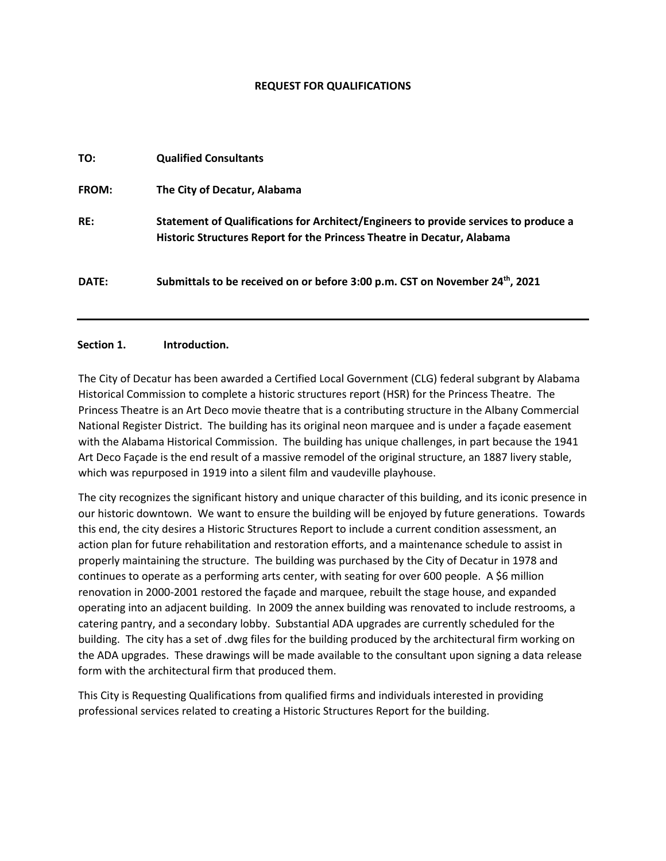### **REQUEST FOR QUALIFICATIONS**

| TO:          | <b>Qualified Consultants</b>                                                                                                                                    |
|--------------|-----------------------------------------------------------------------------------------------------------------------------------------------------------------|
| <b>FROM:</b> | The City of Decatur, Alabama                                                                                                                                    |
| RE:          | Statement of Qualifications for Architect/Engineers to provide services to produce a<br>Historic Structures Report for the Princess Theatre in Decatur, Alabama |
| DATE:        | Submittals to be received on or before 3:00 p.m. CST on November 24th, 2021                                                                                     |

## **Section 1. Introduction.**

The City of Decatur has been awarded a Certified Local Government (CLG) federal subgrant by Alabama Historical Commission to complete a historic structures report (HSR) for the Princess Theatre. The Princess Theatre is an Art Deco movie theatre that is a contributing structure in the Albany Commercial National Register District. The building has its original neon marquee and is under a façade easement with the Alabama Historical Commission. The building has unique challenges, in part because the 1941 Art Deco Façade is the end result of a massive remodel of the original structure, an 1887 livery stable, which was repurposed in 1919 into a silent film and vaudeville playhouse.

The city recognizes the significant history and unique character of this building, and its iconic presence in our historic downtown. We want to ensure the building will be enjoyed by future generations. Towards this end, the city desires a Historic Structures Report to include a current condition assessment, an action plan for future rehabilitation and restoration efforts, and a maintenance schedule to assist in properly maintaining the structure. The building was purchased by the City of Decatur in 1978 and continues to operate as a performing arts center, with seating for over 600 people. A \$6 million renovation in 2000-2001 restored the façade and marquee, rebuilt the stage house, and expanded operating into an adjacent building. In 2009 the annex building was renovated to include restrooms, a catering pantry, and a secondary lobby. Substantial ADA upgrades are currently scheduled for the building. The city has a set of .dwg files for the building produced by the architectural firm working on the ADA upgrades. These drawings will be made available to the consultant upon signing a data release form with the architectural firm that produced them.

This City is Requesting Qualifications from qualified firms and individuals interested in providing professional services related to creating a Historic Structures Report for the building.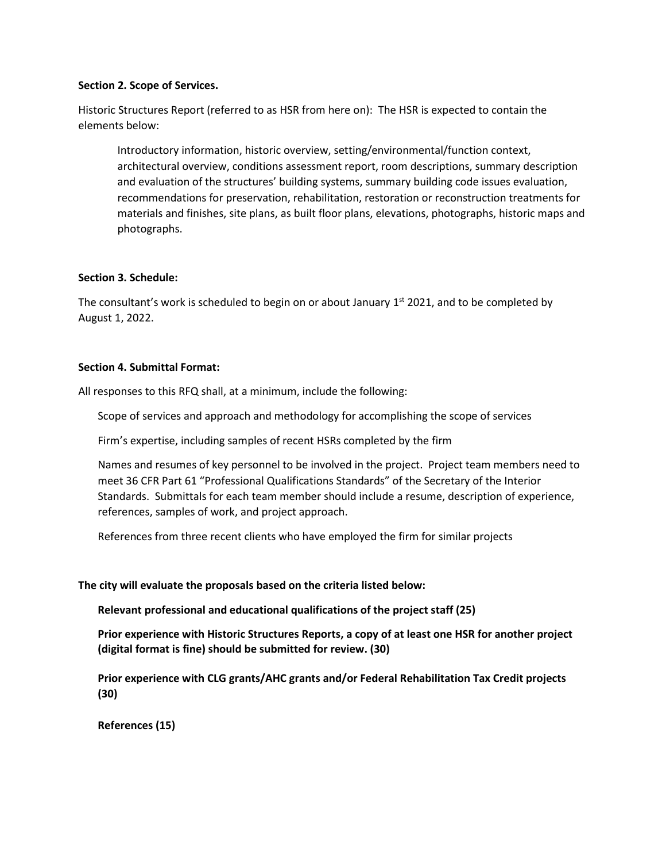### **Section 2. Scope of Services.**

Historic Structures Report (referred to as HSR from here on): The HSR is expected to contain the elements below:

Introductory information, historic overview, setting/environmental/function context, architectural overview, conditions assessment report, room descriptions, summary description and evaluation of the structures' building systems, summary building code issues evaluation, recommendations for preservation, rehabilitation, restoration or reconstruction treatments for materials and finishes, site plans, as built floor plans, elevations, photographs, historic maps and photographs.

## **Section 3. Schedule:**

The consultant's work is scheduled to begin on or about January  $1<sup>st</sup>$  2021, and to be completed by August 1, 2022.

## **Section 4. Submittal Format:**

All responses to this RFQ shall, at a minimum, include the following:

Scope of services and approach and methodology for accomplishing the scope of services

Firm's expertise, including samples of recent HSRs completed by the firm

Names and resumes of key personnel to be involved in the project. Project team members need to meet 36 CFR Part 61 "Professional Qualifications Standards" of the Secretary of the Interior Standards. Submittals for each team member should include a resume, description of experience, references, samples of work, and project approach.

References from three recent clients who have employed the firm for similar projects

**The city will evaluate the proposals based on the criteria listed below:**

**Relevant professional and educational qualifications of the project staff (25)**

**Prior experience with Historic Structures Reports, a copy of at least one HSR for another project (digital format is fine) should be submitted for review. (30)**

**Prior experience with CLG grants/AHC grants and/or Federal Rehabilitation Tax Credit projects (30)**

**References (15)**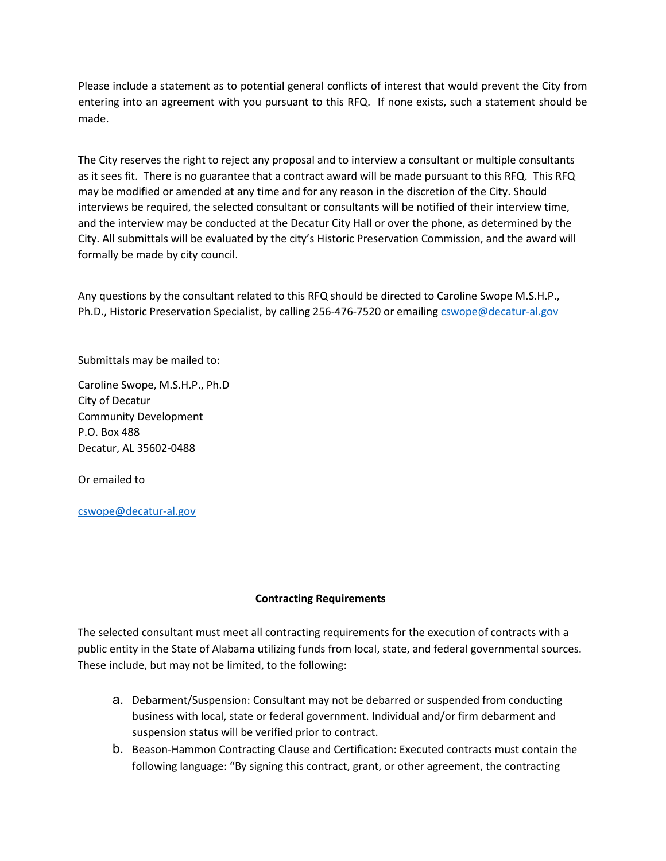Please include a statement as to potential general conflicts of interest that would prevent the City from entering into an agreement with you pursuant to this RFQ. If none exists, such a statement should be made.

The City reserves the right to reject any proposal and to interview a consultant or multiple consultants as it sees fit. There is no guarantee that a contract award will be made pursuant to this RFQ. This RFQ may be modified or amended at any time and for any reason in the discretion of the City. Should interviews be required, the selected consultant or consultants will be notified of their interview time, and the interview may be conducted at the Decatur City Hall or over the phone, as determined by the City. All submittals will be evaluated by the city's Historic Preservation Commission, and the award will formally be made by city council.

Any questions by the consultant related to this RFQ should be directed to Caroline Swope M.S.H.P., Ph.D., Historic Preservation Specialist, by calling 256-476-7520 or emailing [cswope@decatur-al.gov](mailto:cswope@decatur-al.gov)

Submittals may be mailed to:

Caroline Swope, M.S.H.P., Ph.D City of Decatur Community Development P.O. Box 488 Decatur, AL 35602-0488

Or emailed to

[cswope@decatur-al.gov](mailto:cswope@decatur-al.gov)

# **Contracting Requirements**

The selected consultant must meet all contracting requirements for the execution of contracts with a public entity in the State of Alabama utilizing funds from local, state, and federal governmental sources. These include, but may not be limited, to the following:

- a. Debarment/Suspension: Consultant may not be debarred or suspended from conducting business with local, state or federal government. Individual and/or firm debarment and suspension status will be verified prior to contract.
- b. Beason-Hammon Contracting Clause and Certification: Executed contracts must contain the following language: "By signing this contract, grant, or other agreement, the contracting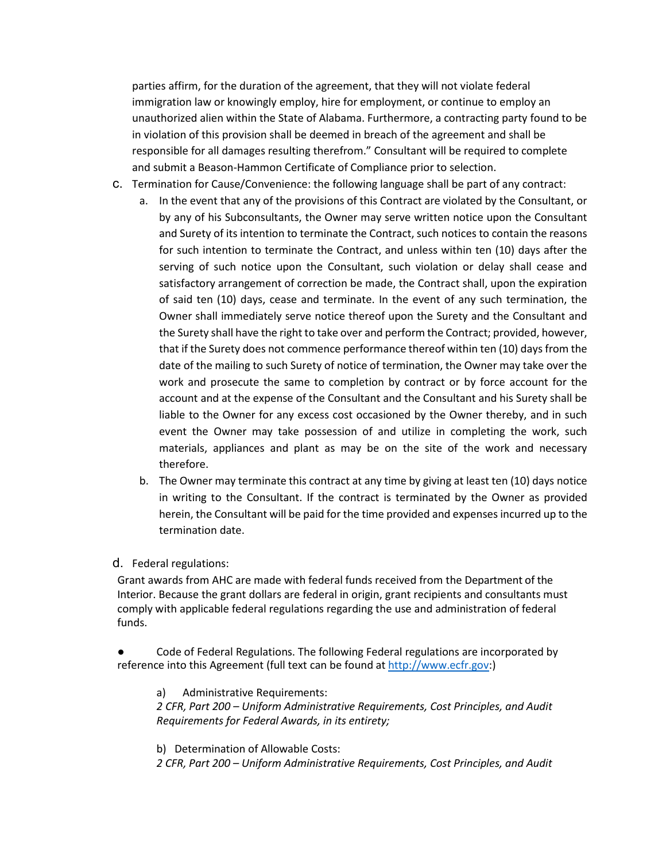parties affirm, for the duration of the agreement, that they will not violate federal immigration law or knowingly employ, hire for employment, or continue to employ an unauthorized alien within the State of Alabama. Furthermore, a contracting party found to be in violation of this provision shall be deemed in breach of the agreement and shall be responsible for all damages resulting therefrom." Consultant will be required to complete and submit a Beason-Hammon Certificate of Compliance prior to selection.

- c. Termination for Cause/Convenience: the following language shall be part of any contract:
	- a. In the event that any of the provisions of this Contract are violated by the Consultant, or by any of his Subconsultants, the Owner may serve written notice upon the Consultant and Surety of its intention to terminate the Contract, such notices to contain the reasons for such intention to terminate the Contract, and unless within ten (10) days after the serving of such notice upon the Consultant, such violation or delay shall cease and satisfactory arrangement of correction be made, the Contract shall, upon the expiration of said ten (10) days, cease and terminate. In the event of any such termination, the Owner shall immediately serve notice thereof upon the Surety and the Consultant and the Surety shall have the right to take over and perform the Contract; provided, however, that if the Surety does not commence performance thereof within ten (10) days from the date of the mailing to such Surety of notice of termination, the Owner may take over the work and prosecute the same to completion by contract or by force account for the account and at the expense of the Consultant and the Consultant and his Surety shall be liable to the Owner for any excess cost occasioned by the Owner thereby, and in such event the Owner may take possession of and utilize in completing the work, such materials, appliances and plant as may be on the site of the work and necessary therefore.
	- b. The Owner may terminate this contract at any time by giving at least ten (10) days notice in writing to the Consultant. If the contract is terminated by the Owner as provided herein, the Consultant will be paid for the time provided and expenses incurred up to the termination date.
- d. Federal regulations:

Grant awards from AHC are made with federal funds received from the Department of the Interior. Because the grant dollars are federal in origin, grant recipients and consultants must comply with applicable federal regulations regarding the use and administration of federal funds.

Code of Federal Regulations. The following Federal regulations are incorporated by reference into this Agreement (full text can be found at [http://www.ecfr.gov:](http://www.ecfr.gov/))

a) Administrative Requirements: *2 CFR, Part 200 – Uniform Administrative Requirements, Cost Principles, and Audit Requirements for Federal Awards, in its entirety;*

b) Determination of Allowable Costs: *2 CFR, Part 200 – Uniform Administrative Requirements, Cost Principles, and Audit*